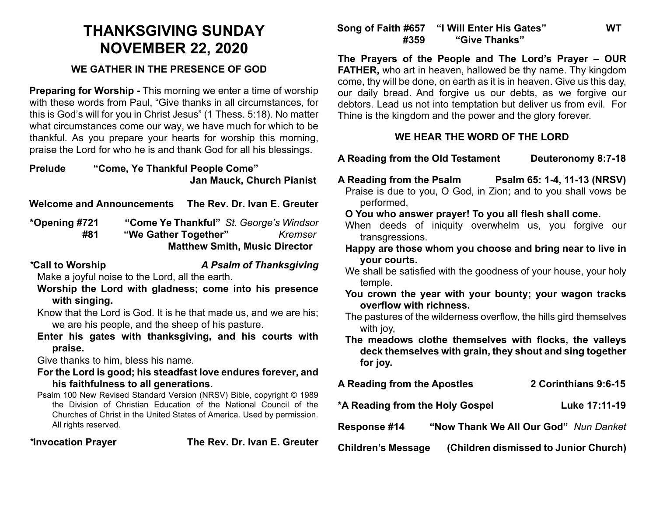# **THANKSGIVING SUNDAY NOVEMBER 22, 2020**

### **WE GATHER IN THE PRESENCE OF GOD**

**Preparing for Worship -** This morning we enter a time of worship with these words from Paul, "Give thanks in all circumstances, for this is God's will for you in Christ Jesus" (1 Thess. 5:18). No matter what circumstances come our way, we have much for which to be thankful. As you prepare your hearts for worship this morning, praise the Lord for who he is and thank God for all his blessings.

**Prelude "Come, Ye Thankful People Come" Jan Mauck, Church Pianist** 

**Welcome and Announcements The Rev. Dr. Ivan E. Greuter**

**\*Opening #721 "Come Ye Thankful"** *St. George's Windsor*  **#81 "We Gather Together"** *Kremser* **Matthew Smith, Music Director** 

*\****Call to Worship** *A Psalm of Thanksgiving*

Make a joyful noise to the Lord, all the earth.

**Worship the Lord with gladness; come into his presence with singing.**

- Know that the Lord is God. It is he that made us, and we are his; we are his people, and the sheep of his pasture.
- **Enter his gates with thanksgiving, and his courts with praise.**

Give thanks to him, bless his name.

- **For the Lord is good; his steadfast love endures forever, and his faithfulness to all generations.**
- Psalm 100 New Revised Standard Version (NRSV) Bible, copyright © 1989 the Division of Christian Education of the National Council of the Churches of Christ in the United States of America. Used by permission. All rights reserved.

*\****Invocation Prayer The Rev. Dr. Ivan E. Greuter**

## **Song of Faith #657 "I Will Enter His Gates" WT #359 "Give Thanks"**

**The Prayers of the People and The Lord's Prayer – OUR FATHER,** who art in heaven, hallowed be thy name. Thy kingdom come, thy will be done, on earth as it is in heaven. Give us this day, our daily bread. And forgive us our debts, as we forgive our debtors. Lead us not into temptation but deliver us from evil. For Thine is the kingdom and the power and the glory forever.

### **WE HEAR THE WORD OF THE LORD**

- **A Reading from the Old Testament Deuteronomy 8:7-18**
- **A Reading from the Psalm Psalm 65: 1-4, 11-13 (NRSV)**
- Praise is due to you, O God, in Zion; and to you shall vows be performed,
- **O You who answer prayer! To you all flesh shall come.**
- When deeds of iniquity overwhelm us, you forgive our transgressions.
- **Happy are those whom you choose and bring near to live in your courts.**
- We shall be satisfied with the goodness of your house, your holy temple.
- **You crown the year with your bounty; your wagon tracks overflow with richness.**
- The pastures of the wilderness overflow, the hills gird themselves with joy,
- **The meadows clothe themselves with flocks, the valleys deck themselves with grain, they shout and sing together for joy.**

| <b>A Reading from the Apostles</b> | 2 Corinthians 9:6-15 |
|------------------------------------|----------------------|
|------------------------------------|----------------------|

**\*A Reading from the Holy Gospel Luke 17:11-19**

**Response #14 "Now Thank We All Our God"** *Nun Danket*

**Children's Message (Children dismissed to Junior Church)**